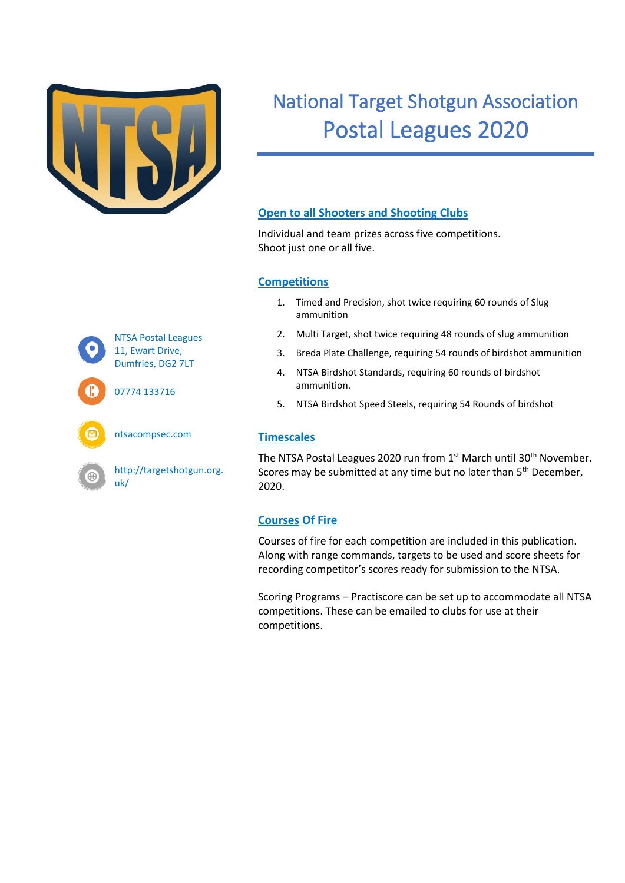

# National Target Shotgun Association Postal Leagues 2020

#### **Open to all Shooters and Shooting Clubs**

Individual and team prizes across five competitions. Shoot just one or all five.

#### **Competitions**

- 1. Timed and Precision, shot twice requiring 60 rounds of Slug ammunition
- 2. Multi Target, shot twice requiring 48 rounds of slug ammunition
- 3. Breda Plate Challenge, requiring 54 rounds of birdshot ammunition
- 4. NTSA Birdshot Standards, requiring 60 rounds of birdshot ammunition.
- 5. NTSA Birdshot Speed Steels, requiring 54 Rounds of birdshot

#### **Timescales**

The NTSA Postal Leagues 2020 run from 1<sup>st</sup> March until 30<sup>th</sup> November. Scores may be submitted at any time but no later than 5<sup>th</sup> December, 2020.

#### **Courses Of Fire**

Courses of fire for each competition are included in this publication. Along with range commands, targets to be used and score sheets for recording competitor's scores ready for submission to the NTSA.

Scoring Programs – Practiscore can be set up to accommodate all NTSA competitions. These can be emailed to clubs for use at their competitions.



07774 133716



ntsacompsec.com

http://targetshotgun.org. uk/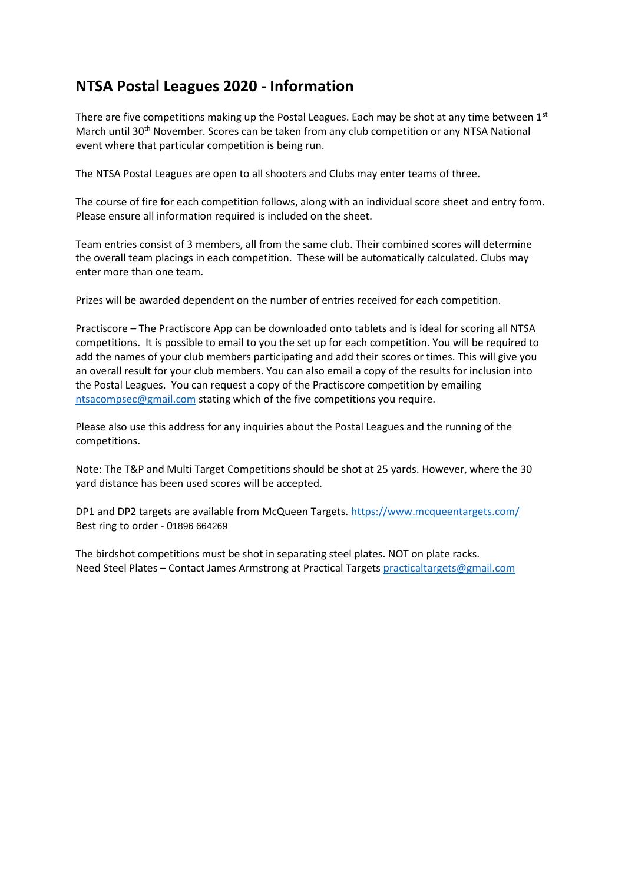## **NTSA Postal Leagues 2020 - Information**

There are five competitions making up the Postal Leagues. Each may be shot at any time between 1st March until 30<sup>th</sup> November. Scores can be taken from any club competition or any NTSA National event where that particular competition is being run.

The NTSA Postal Leagues are open to all shooters and Clubs may enter teams of three.

The course of fire for each competition follows, along with an individual score sheet and entry form. Please ensure all information required is included on the sheet.

Team entries consist of 3 members, all from the same club. Their combined scores will determine the overall team placings in each competition. These will be automatically calculated. Clubs may enter more than one team.

Prizes will be awarded dependent on the number of entries received for each competition.

Practiscore – The Practiscore App can be downloaded onto tablets and is ideal for scoring all NTSA competitions. It is possible to email to you the set up for each competition. You will be required to add the names of your club members participating and add their scores or times. This will give you an overall result for your club members. You can also email a copy of the results for inclusion into the Postal Leagues. You can request a copy of the Practiscore competition by emailing [ntsacompsec@gmail.com](mailto:ntsacompsec@gmail.com) stating which of the five competitions you require.

Please also use this address for any inquiries about the Postal Leagues and the running of the competitions.

Note: The T&P and Multi Target Competitions should be shot at 25 yards. However, where the 30 yard distance has been used scores will be accepted.

DP1 and DP2 targets are available from McQueen Targets.<https://www.mcqueentargets.com/> Best ring to order - 01896 664269

The birdshot competitions must be shot in separating steel plates. NOT on plate racks. Need Steel Plates – Contact James Armstrong at Practical Targets [practicaltargets@gmail.com](mailto:practicaltargets@gmail.com)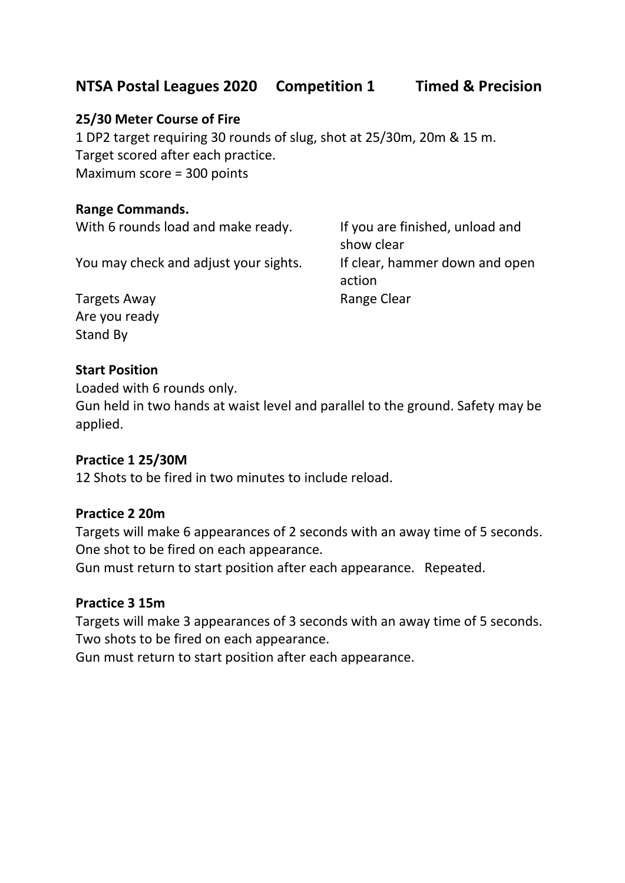## **NTSA Postal Leagues 2020 Competition 1 Timed & Precision**

#### **25/30 Meter Course of Fire**

1 DP2 target requiring 30 rounds of slug, shot at 25/30m, 20m & 15 m. Target scored after each practice. Maximum score = 300 points

#### **Range Commands.**

With 6 rounds load and make ready. If you are finished, unload and

You may check and adjust your sights. If clear, hammer down and open

show clear action

Targets Away **Range Clear** Range Clear Are you ready Stand By

#### **Start Position**

Loaded with 6 rounds only.

Gun held in two hands at waist level and parallel to the ground. Safety may be applied.

#### **Practice 1 25/30M**

12 Shots to be fired in two minutes to include reload.

#### **Practice 2 20m**

Targets will make 6 appearances of 2 seconds with an away time of 5 seconds. One shot to be fired on each appearance.

Gun must return to start position after each appearance. Repeated.

#### **Practice 3 15m**

Targets will make 3 appearances of 3 seconds with an away time of 5 seconds. Two shots to be fired on each appearance.

Gun must return to start position after each appearance.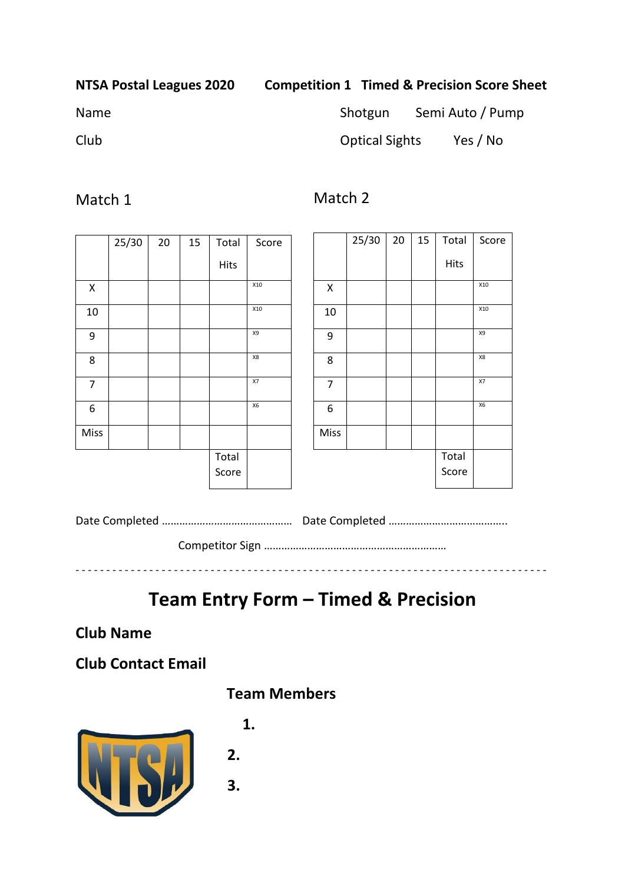#### **NTSA Postal Leagues 2020 Competition 1 Timed & Precision Score Sheet**

## Name Shotgun Semi Auto / Pump

Club Optical Sights Yes / No

## Match 1

Match 2

| 25/30 | 20 | 15 | Total       | Score |
|-------|----|----|-------------|-------|
|       |    |    | <b>Hits</b> |       |
|       |    |    |             | X10   |
|       |    |    |             | X10   |
|       |    |    |             | X9    |
|       |    |    |             | X8    |
|       |    |    |             | X7    |
|       |    |    |             | Х6    |
|       |    |    |             |       |
|       |    |    | Total       |       |
|       |    |    | Score       |       |
|       |    |    |             |       |

|                    | 25/30 | 20 | 15 | Total       | Score |
|--------------------|-------|----|----|-------------|-------|
|                    |       |    |    | <b>Hits</b> |       |
| $\pmb{\mathsf{X}}$ |       |    |    |             | X10   |
| 10                 |       |    |    |             | X10   |
| 9                  |       |    |    |             | X9    |
| 8                  |       |    |    |             | X8    |
| $\overline{7}$     |       |    |    |             | X7    |
| 6                  |       |    |    |             | X6    |
| <b>Miss</b>        |       |    |    |             |       |
|                    |       |    |    | Total       |       |
|                    |       |    |    | Score       |       |

Date Completed …………………………………………………… Date Completed ……………………………………… Competitor Sign ………………………………………………………

- - - - - - - - - - - - - - - - - - - - - - - - - - - - - - - - - - - - - - - - - - - - - - - - - - - - - - - - - - - - - - - - - - - - - - - - - - - - -

# **Team Entry Form – Timed & Precision**

**Club Name** 

**Club Contact Email** 





# **1.**

 **2.**

 **3.**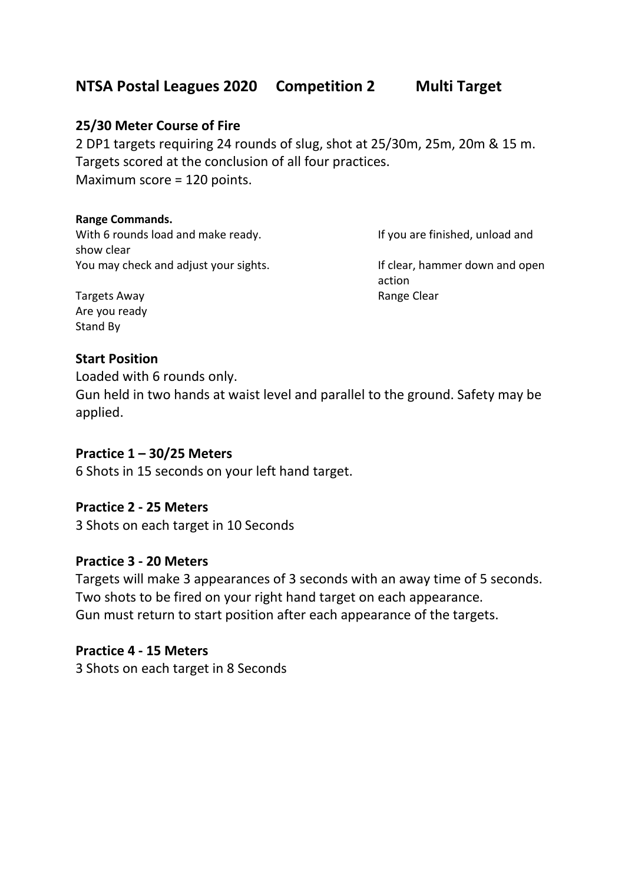## **NTSA Postal Leagues 2020 Competition 2 Multi Target**

#### **25/30 Meter Course of Fire**

2 DP1 targets requiring 24 rounds of slug, shot at 25/30m, 25m, 20m & 15 m. Targets scored at the conclusion of all four practices. Maximum score = 120 points.

#### **Range Commands.**

With 6 rounds load and make ready. If you are finished, unload and show clear You may check and adjust your sights. If clear, hammer down and open

action

Targets Away **Range Clear Range Clear** Are you ready Stand By

#### **Start Position**

Loaded with 6 rounds only.

Gun held in two hands at waist level and parallel to the ground. Safety may be applied.

#### **Practice 1 – 30/25 Meters**

6 Shots in 15 seconds on your left hand target.

#### **Practice 2 - 25 Meters**

3 Shots on each target in 10 Seconds

#### **Practice 3 - 20 Meters**

Targets will make 3 appearances of 3 seconds with an away time of 5 seconds. Two shots to be fired on your right hand target on each appearance. Gun must return to start position after each appearance of the targets.

#### **Practice 4 - 15 Meters**

3 Shots on each target in 8 Seconds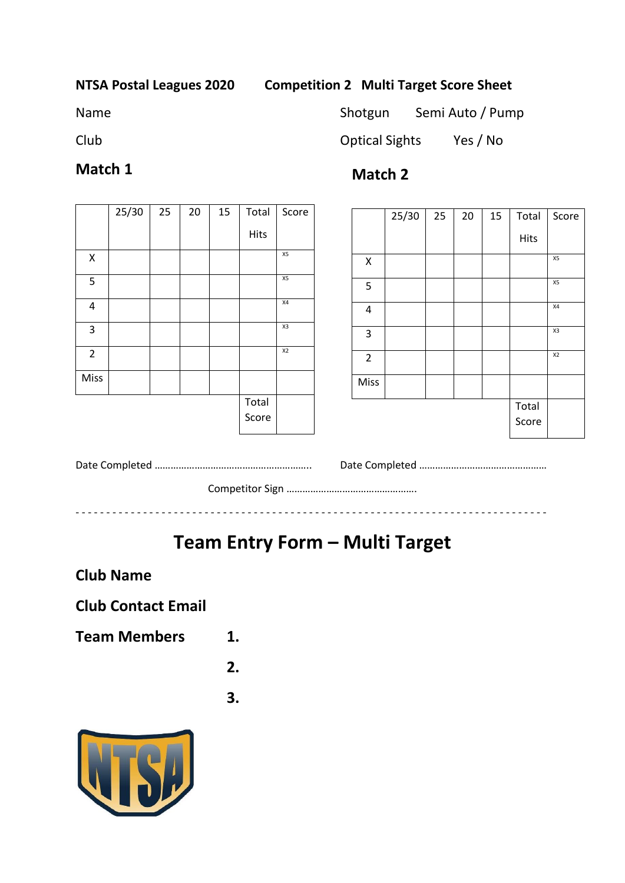#### **NTSA Postal Leagues 2020 Competition 2 Multi Target Score Sheet**

Name Shotgun Semi Auto / Pump

## **Match 1**

## **Match 2**

|                    | 25/30 | 25 | 20 | 15 | Total | Score          |
|--------------------|-------|----|----|----|-------|----------------|
|                    |       |    |    |    | Hits  |                |
| $\pmb{\mathsf{X}}$ |       |    |    |    |       | X5             |
| 5                  |       |    |    |    |       | X5             |
| 4                  |       |    |    |    |       | Χ4             |
| 3                  |       |    |    |    |       | X3             |
| $\overline{2}$     |       |    |    |    |       | X <sub>2</sub> |
| Miss               |       |    |    |    |       |                |
|                    |       |    |    |    | Total |                |
|                    |       |    |    |    | Score |                |

|                | 25/30 | 25 | 20 | 15 | Total          | Score          |
|----------------|-------|----|----|----|----------------|----------------|
|                |       |    |    |    | Hits           |                |
| Χ              |       |    |    |    |                | X5             |
| 5              |       |    |    |    |                | X5             |
| 4              |       |    |    |    |                | X4             |
| 3              |       |    |    |    |                | X3             |
| $\overline{2}$ |       |    |    |    |                | X <sub>2</sub> |
| Miss           |       |    |    |    |                |                |
|                |       |    |    |    | Total<br>Score |                |

Date Completed ………………………………………………….. Date Completed …………………………………………

Competitor Sign ………………………………………….

# **Team Entry Form – Multi Target**

- - - - - - - - - - - - - - - - - - - - - - - - - - - - - - - - - - - - - - - - - - - - - - - - - - - - - - - - - - - - - - - - - - - - - - - - - - - - -

**Club Name** 

## **Club Contact Email**

**Team Members 1.**

**2.**

**3.**



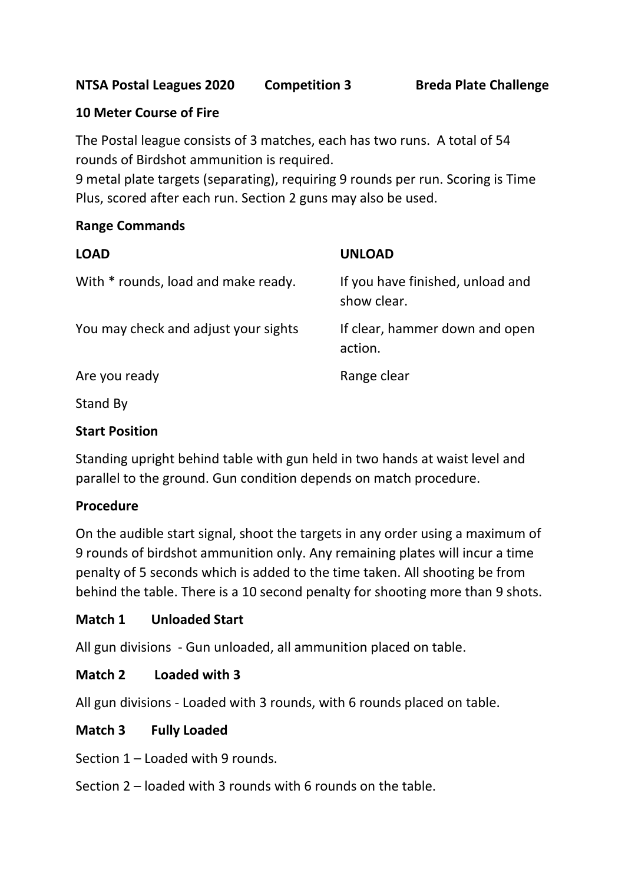#### **10 Meter Course of Fire**

The Postal league consists of 3 matches, each has two runs. A total of 54 rounds of Birdshot ammunition is required.

9 metal plate targets (separating), requiring 9 rounds per run. Scoring is Time Plus, scored after each run. Section 2 guns may also be used.

#### **Range Commands**

| <b>LOAD</b>                          | <b>UNLOAD</b>                                   |
|--------------------------------------|-------------------------------------------------|
| With * rounds, load and make ready.  | If you have finished, unload and<br>show clear. |
| You may check and adjust your sights | If clear, hammer down and open<br>action.       |
| Are you ready                        | Range clear                                     |
| $C+ and D$                           |                                                 |

Stand By

#### **Start Position**

Standing upright behind table with gun held in two hands at waist level and parallel to the ground. Gun condition depends on match procedure.

#### **Procedure**

On the audible start signal, shoot the targets in any order using a maximum of 9 rounds of birdshot ammunition only. Any remaining plates will incur a time penalty of 5 seconds which is added to the time taken. All shooting be from behind the table. There is a 10 second penalty for shooting more than 9 shots.

#### **Match 1 Unloaded Start**

All gun divisions - Gun unloaded, all ammunition placed on table.

#### **Match 2 Loaded with 3**

All gun divisions - Loaded with 3 rounds, with 6 rounds placed on table.

#### **Match 3 Fully Loaded**

Section 1 – Loaded with 9 rounds.

Section 2 – loaded with 3 rounds with 6 rounds on the table.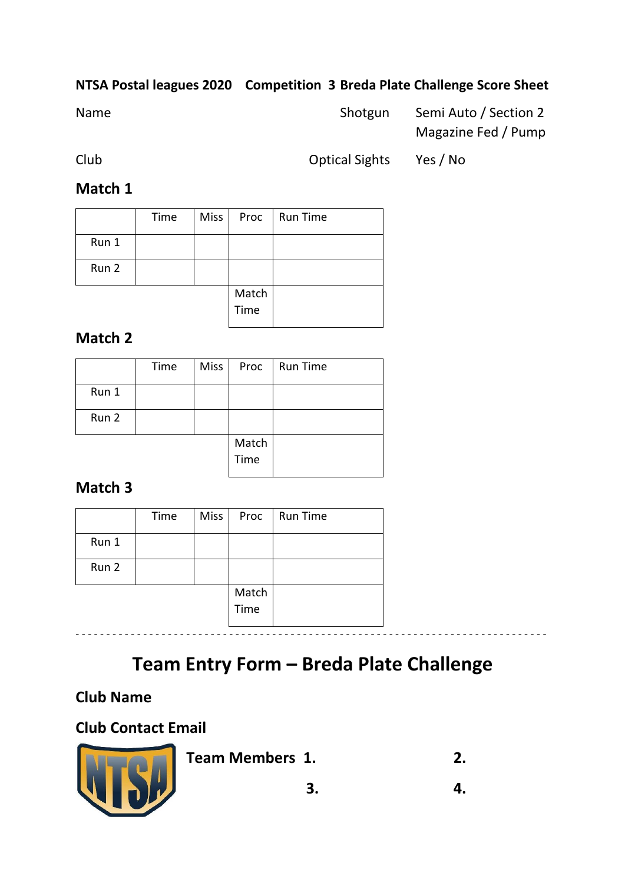## **NTSA Postal leagues 2020 Competition 3 Breda Plate Challenge Score Sheet**

| Name | Shotgun | Semi Auto / Section 2 |
|------|---------|-----------------------|
|      |         | Magazine Fed / Pump   |

Club Optical Sights Yes / No

## **Match 1**

|       | Time | <b>Miss</b> | Proc  | <b>Run Time</b> |
|-------|------|-------------|-------|-----------------|
| Run 1 |      |             |       |                 |
| Run 2 |      |             |       |                 |
|       |      |             | Match |                 |
|       |      |             | Time  |                 |

## **Match 2**

|       | Time | <b>Miss</b> | Proc  | <b>Run Time</b> |
|-------|------|-------------|-------|-----------------|
| Run 1 |      |             |       |                 |
| Run 2 |      |             |       |                 |
|       |      |             | Match |                 |
|       |      |             | Time  |                 |

## **Match 3**

|       | Time | Miss | Proc          | <b>Run Time</b> |
|-------|------|------|---------------|-----------------|
| Run 1 |      |      |               |                 |
| Run 2 |      |      |               |                 |
|       |      |      | Match<br>Time |                 |

# **Team Entry Form – Breda Plate Challenge**

## **Club Name**

## **Club Contact Email**



**Team Members 1. 2.**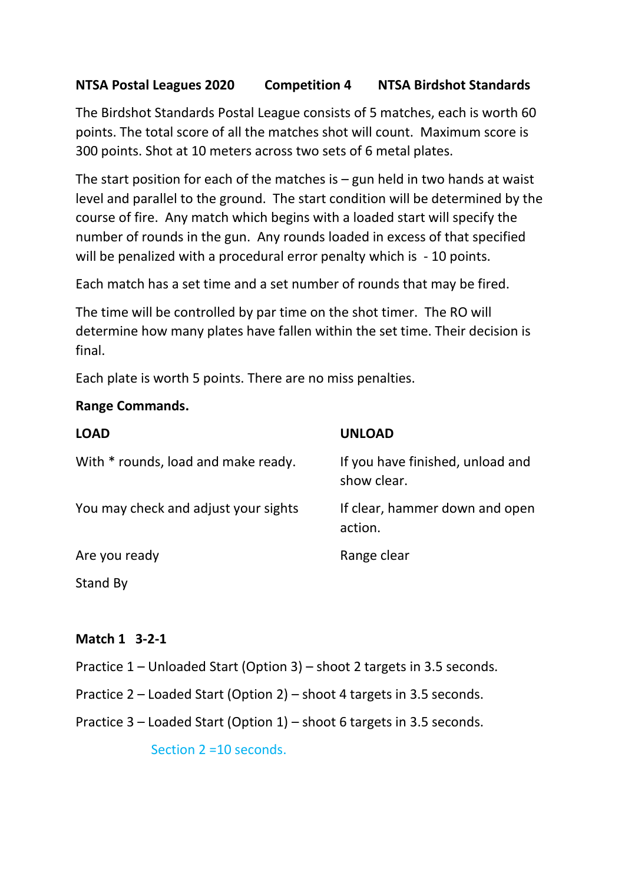## **NTSA Postal Leagues 2020 Competition 4 NTSA Birdshot Standards**

The Birdshot Standards Postal League consists of 5 matches, each is worth 60 points. The total score of all the matches shot will count. Maximum score is 300 points. Shot at 10 meters across two sets of 6 metal plates.

The start position for each of the matches is  $-$  gun held in two hands at waist level and parallel to the ground. The start condition will be determined by the course of fire. Any match which begins with a loaded start will specify the number of rounds in the gun. Any rounds loaded in excess of that specified will be penalized with a procedural error penalty which is - 10 points.

Each match has a set time and a set number of rounds that may be fired.

The time will be controlled by par time on the shot timer. The RO will determine how many plates have fallen within the set time. Their decision is final.

Each plate is worth 5 points. There are no miss penalties.

#### **Range Commands.**

| <b>LOAD</b>                          | <b>UNLOAD</b>                                   |
|--------------------------------------|-------------------------------------------------|
| With * rounds, load and make ready.  | If you have finished, unload and<br>show clear. |
| You may check and adjust your sights | If clear, hammer down and open<br>action.       |
| Are you ready                        | Range clear                                     |
| Stand By                             |                                                 |

#### **Match 1 3-2-1**

- Practice 1 Unloaded Start (Option 3) shoot 2 targets in 3.5 seconds.
- Practice 2 Loaded Start (Option 2) shoot 4 targets in 3.5 seconds.
- Practice 3 Loaded Start (Option 1) shoot 6 targets in 3.5 seconds.

Section 2 =10 seconds.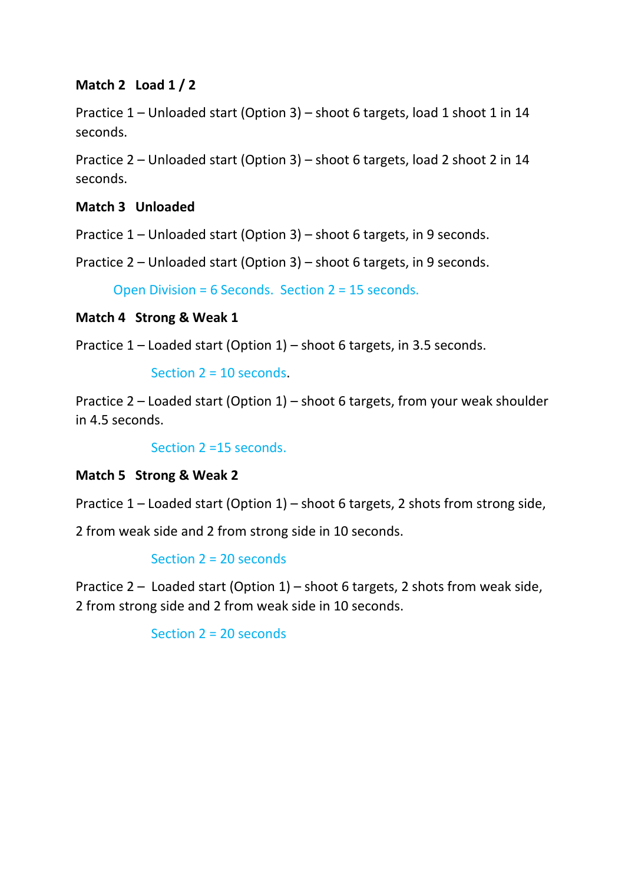### **Match 2 Load 1 / 2**

Practice 1 – Unloaded start (Option 3) – shoot 6 targets, load 1 shoot 1 in 14 seconds.

Practice 2 – Unloaded start (Option 3) – shoot 6 targets, load 2 shoot 2 in 14 seconds.

### **Match 3 Unloaded**

Practice 1 – Unloaded start (Option 3) – shoot 6 targets, in 9 seconds.

Practice 2 – Unloaded start (Option 3) – shoot 6 targets, in 9 seconds.

Open Division = 6 Seconds. Section 2 = 15 seconds.

### **Match 4 Strong & Weak 1**

Practice 1 – Loaded start (Option 1) – shoot 6 targets, in 3.5 seconds.

Section 2 = 10 seconds.

Practice 2 – Loaded start (Option 1) – shoot 6 targets, from your weak shoulder in 4.5 seconds.

Section 2 =15 seconds.

**Match 5 Strong & Weak 2** 

Practice 1 – Loaded start (Option 1) – shoot 6 targets, 2 shots from strong side,

2 from weak side and 2 from strong side in 10 seconds.

#### Section 2 = 20 seconds

Practice 2 – Loaded start (Option 1) – shoot 6 targets, 2 shots from weak side, 2 from strong side and 2 from weak side in 10 seconds.

Section 2 = 20 seconds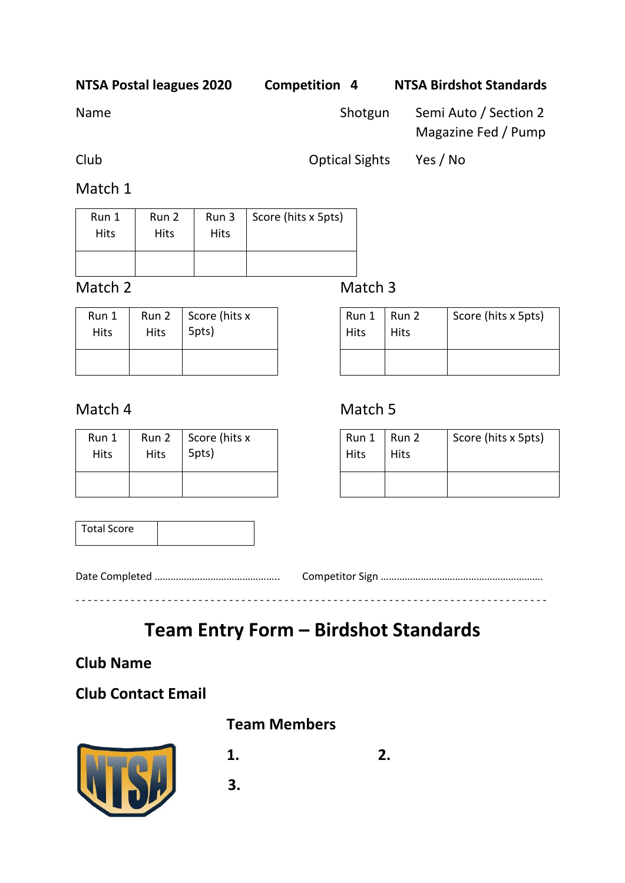**NTSA Postal leagues 2020 Competition 4 NTSA Birdshot Standards**

Name Shotgun Semi Auto / Section 2

Magazine Fed / Pump

Club Optical Sights Yes / No

Match 1

| Run 1       | Run 2 | Run 3       | Score (hits x 5pts) |
|-------------|-------|-------------|---------------------|
| <b>Hits</b> | Hits  | <b>Hits</b> |                     |
|             |       |             |                     |

Match 2 Match 3

| Run 1 | Run 2       | Score (hits x |
|-------|-------------|---------------|
| Hits  | <b>Hits</b> | 5pts)         |
|       |             |               |

| Run 1 | Run 2 | Score (hits x |
|-------|-------|---------------|
| Hits  | Hits  | 5pts)         |
|       |       |               |

#### Run 1 **Hits** Run 2 Hits Score (hits x 5pts)

## Match 4 Match 5

| Run 1<br>Hits | Run 2<br>Hits | Score (hits x 5pts) |
|---------------|---------------|---------------------|
|               |               |                     |

| <b>Total Score</b> |  |
|--------------------|--|
|                    |  |

# **Team Entry Form – Birdshot Standards**

- - - - - - - - - - - - - - - - - - - - - - - - - - - - - - - - - - - - - - - - - - - - - - - - - - - - - - - - - - - - - - - - - - - - - - - - - - - - -

## **Club Name**

## **Club Contact Email**



## **Team Members**

- **1. 2.**
- **3.**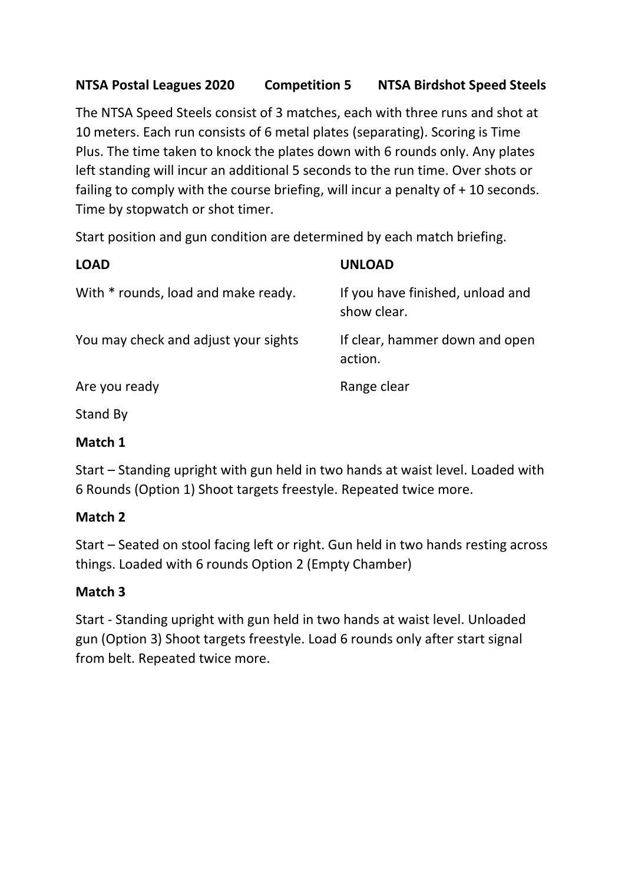## **NTSA Postal Leagues 2020 Competition 5 NTSA Birdshot Speed Steels**

The NTSA Speed Steels consist of 3 matches, each with three runs and shot at 10 meters. Each run consists of 6 metal plates (separating). Scoring is Time Plus. The time taken to knock the plates down with 6 rounds only. Any plates left standing will incur an additional 5 seconds to the run time. Over shots or failing to comply with the course briefing, will incur a penalty of + 10 seconds. Time by stopwatch or shot timer.

Start position and gun condition are determined by each match briefing.

| <b>LOAD</b>                          | <b>UNLOAD</b>                                   |
|--------------------------------------|-------------------------------------------------|
| With * rounds, load and make ready.  | If you have finished, unload and<br>show clear. |
| You may check and adjust your sights | If clear, hammer down and open<br>action.       |
| Are you ready                        | Range clear                                     |

Stand By

### **Match 1**

Start – Standing upright with gun held in two hands at waist level. Loaded with 6 Rounds (Option 1) Shoot targets freestyle. Repeated twice more.

### **Match 2**

Start – Seated on stool facing left or right. Gun held in two hands resting across things. Loaded with 6 rounds Option 2 (Empty Chamber)

## **Match 3**

Start - Standing upright with gun held in two hands at waist level. Unloaded gun (Option 3) Shoot targets freestyle. Load 6 rounds only after start signal from belt. Repeated twice more.